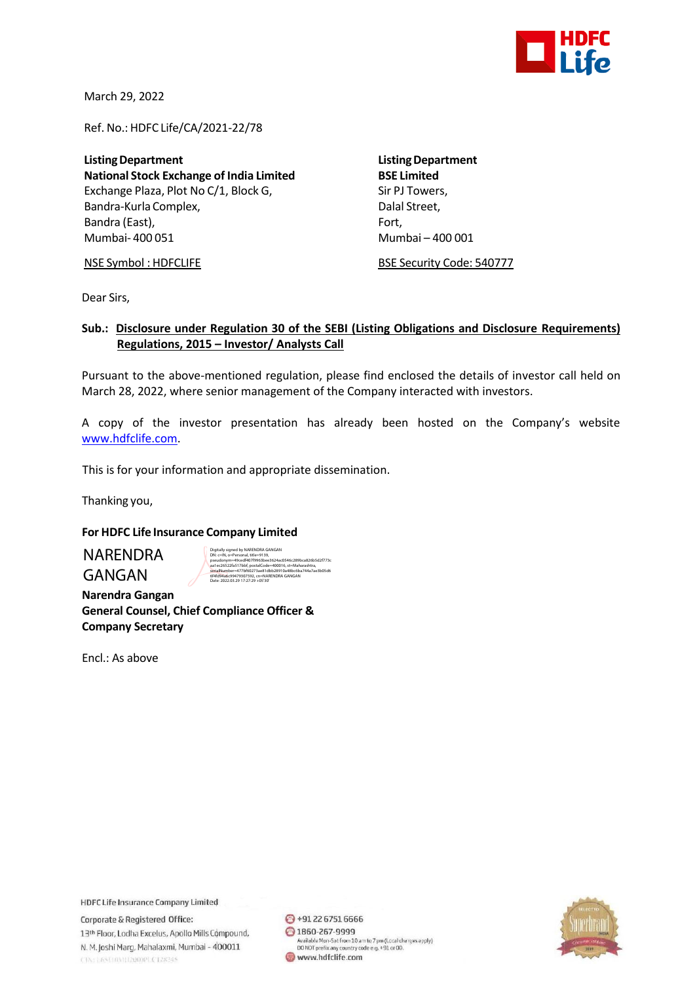

March 29, 2022

Ref. No.: HDFC Life/CA/2021-22/78

**ListingDepartment ListingDepartment National Stock Exchange of India Limited** Exchange Plaza, Plot No C/1, Block G, Sir PJ Towers, Bandra-Kurla Complex, and the complexed of the Dalal Street, Bandra (East), Fort, Fort, Fort, Fort, Fort, Fort, Fort, Fort, Fort, Fort, Fort, Fort, Fort, Fort, Fort, Fort, Mumbai- 400 051 Mumbai – 400 001

NSE Symbol : HDFCLIFE BSE Security Code: 540777

Dear Sirs,

## **Sub.: Disclosure under Regulation 30 of the SEBI (Listing Obligations and Disclosure Requirements) Regulations, 2015 – Investor/ Analysts Call**

Pursuant to the above-mentioned regulation, please find enclosed the details of investor call held on March 28, 2022, where senior management of the Company interacted with investors.

A copy of the investor presentation has already been hosted on the Company's website [www.hdfclife.com.](http://www.hdfclife.com/)

This is for your information and appropriate dissemination.

Thanking you,

## **For HDFC Life Insurance Company Limited**

NARENDRA GANGAN

Digitally signed by NARENDPA GANGAN<br>Diki c=lM, o=Personal, title=9139,<br>pseudonym=49cedf407f9963bee3624ac0546c289bca826b5d2f773c<br>aa1ec26522fa517bbf, postalCode=400016, st=Maharashtra,<br>serialWumber=477bf60273ae81dbb28910a48b

 **Narendra Gangan General Counsel, Chief Compliance Officer & Company Secretary**

Encl.: As above

**HDFC Life Insurance Company Limited** 

Corporate & Registered Office: 13th Floor, Lodha Excelus, Apollo Mills Compound, N. M. Joshi Marg, Mahalaxmi, Mumbai - 400011 CINTERSUMATIZODOPLCT28245